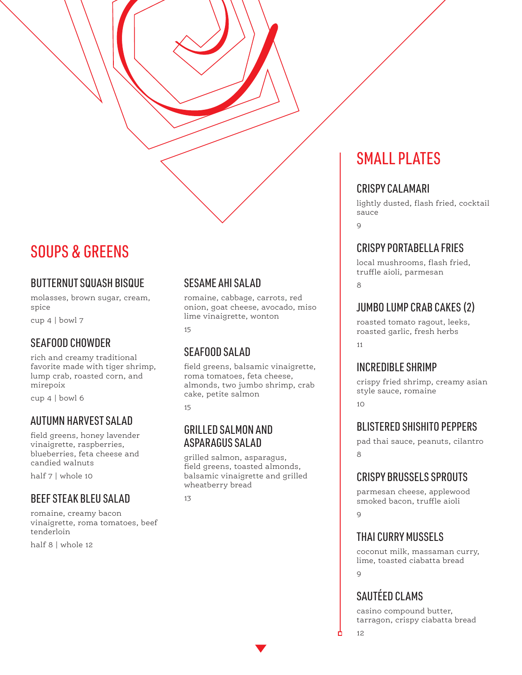## SOUPS & GREENS

#### BUTTERNUT SQUASH BISQUE

molasses, brown sugar, cream, spice

cup 4 | bowl 7

### SEAFOOD CHOWDER

rich and creamy traditional favorite made with tiger shrimp, lump crab, roasted corn, and mirepoix

cup 4 | bowl 6

#### AUTUMN HARVEST SALAD

field greens, honey lavender vinaigrette, raspberries, blueberries, feta cheese and candied walnuts

half 7 | whole 10

#### BEEF STEAK BLEU SALAD

romaine, creamy bacon vinaigrette, roma tomatoes, beef tenderloin

half 8 | whole 12

#### SESAME AHI SALAD

romaine, cabbage, carrots, red onion, goat cheese, avocado, miso lime vinaigrette, wonton

15

#### SEAFOOD SALAD

field greens, balsamic vinaigrette, roma tomatoes, feta cheese, almonds, two jumbo shrimp, crab cake, petite salmon

15

#### GRILLED SALMON AND ASPARAGUS SALAD

grilled salmon, asparagus, field greens, toasted almonds, balsamic vinaigrette and grilled wheatberry bread

13

## SMALL PLATES

#### CRISPY CALAMARI

lightly dusted, flash fried, cocktail sauce

 $\alpha$ 

#### CRISPY PORTABELLA FRIES

local mushrooms, flash fried, truffle aioli, parmesan

**8** 

## JUMBO LUMP CRAB CAKES (2)

roasted tomato ragout, leeks, roasted garlic, fresh herbs 11

#### INCREDIBLE SHRIMP

crispy fried shrimp, creamy asian style sauce, romaine  $1<sub>0</sub>$ 

#### BLISTERED SHISHITO PEPPERS

pad thai sauce, peanuts, cilantro 8

#### CRISPY BRUSSELS SPROUTS

parmesan cheese, applewood smoked bacon, truffle aioli  $\Omega$ 

#### THAI CURRY MUSSELS

coconut milk, massaman curry, lime, toasted ciabatta bread  $\overline{Q}$ 

## SAUTÉED CLAMS

casino compound butter, tarragon, crispy ciabatta bread

12